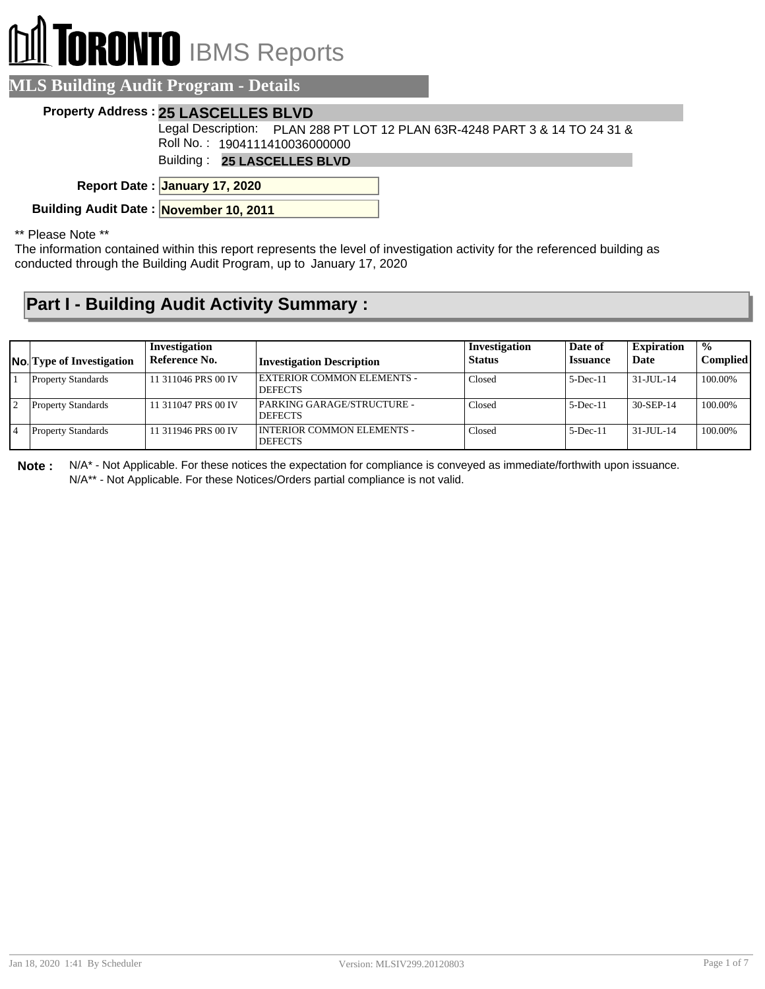# **ORONTO** IBMS Reports

| <b>MLS Building Audit Program - Details</b> |  |
|---------------------------------------------|--|
|                                             |  |

#### **Property Address : 25 LASCELLES BLVD**

Legal Description: PLAN 288 PT LOT 12 PLAN 63R-4248 PART 3 & 14 TO 24 31 & Roll No. : 1904111410036000000

Building : **25 LASCELLES BLVD**

**January 17, 2020 Report Date :**

**Building Audit Date : November 10, 2011**

#### \*\* Please Note \*\*

The information contained within this report represents the level of investigation activity for the referenced building as conducted through the Building Audit Program, up to January 17, 2020

### **Part I - Building Audit Activity Summary :**

| <b>No.</b> Type of Investigation | Investigation<br>Reference No. | <b>Investigation Description</b>                    | Investigation<br><b>Status</b> | Date of<br><b>Issuance</b> | <b>Expiration</b><br>Date | $\frac{0}{0}$<br><b>Complied</b> |
|----------------------------------|--------------------------------|-----------------------------------------------------|--------------------------------|----------------------------|---------------------------|----------------------------------|
| <b>Property Standards</b>        | 11 311046 PRS 00 IV            | <b>EXTERIOR COMMON ELEMENTS -</b><br><b>DEFECTS</b> | Closed                         | $5$ -Dec-11                | $31 - JUII - 14$          | 100.00%                          |
| <b>Property Standards</b>        | 11 311047 PRS 00 IV            | PARKING GARAGE/STRUCTURE -<br><b>DEFECTS</b>        | Closed                         | $5$ -Dec-11                | 30-SEP-14                 | 100.00%                          |
| <b>Property Standards</b>        | 11 311946 PRS 00 IV            | I INTERIOR COMMON ELEMENTS -<br><b>DEFECTS</b>      | Closed                         | $5$ -Dec-11                | $31 - JUII - 14$          | 100.00%                          |

**Note :** N/A\* - Not Applicable. For these notices the expectation for compliance is conveyed as immediate/forthwith upon issuance. N/A\*\* - Not Applicable. For these Notices/Orders partial compliance is not valid.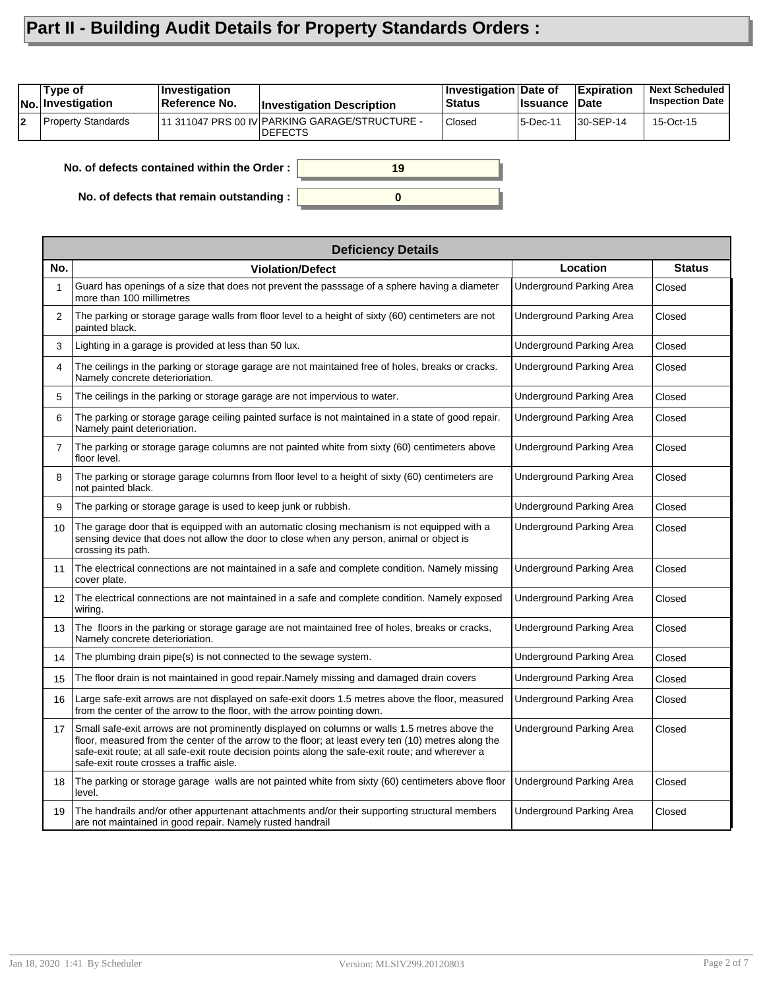## **Part II - Building Audit Details for Property Standards Orders :**

|    | Type of<br>INo. Investigation | <i><b>Investigation</b></i><br>Reference No. | <b>Investigation Description</b>                                  | Investigation Date of<br>∣Status | <b>Issuance</b> | <b>Expiration</b><br>Date | <b>Next Scheduled</b><br><b>Inspection Date</b> |
|----|-------------------------------|----------------------------------------------|-------------------------------------------------------------------|----------------------------------|-----------------|---------------------------|-------------------------------------------------|
| 12 | <b>Property Standards</b>     |                                              | 11 311047 PRS 00 IV PARKING GARAGE/STRUCTURE -<br><b>IDEFECTS</b> | <b>Closed</b>                    | 5-Dec-11        | 30-SEP-14                 | 15-Oct-15                                       |
|    |                               |                                              |                                                                   |                                  |                 |                           |                                                 |

**0**

**19**

**No. of defects contained within the Order :**

**No. of defects that remain outstanding :**

|                | <b>Deficiency Details</b>                                                                                                                                                                                                                                                                                                                             |                          |               |  |  |  |  |
|----------------|-------------------------------------------------------------------------------------------------------------------------------------------------------------------------------------------------------------------------------------------------------------------------------------------------------------------------------------------------------|--------------------------|---------------|--|--|--|--|
| No.            | <b>Violation/Defect</b>                                                                                                                                                                                                                                                                                                                               | Location                 | <b>Status</b> |  |  |  |  |
|                | Guard has openings of a size that does not prevent the passsage of a sphere having a diameter<br>more than 100 millimetres                                                                                                                                                                                                                            | Underground Parking Area | Closed        |  |  |  |  |
| $\overline{2}$ | The parking or storage garage walls from floor level to a height of sixty (60) centimeters are not<br>painted black.                                                                                                                                                                                                                                  | Underground Parking Area | Closed        |  |  |  |  |
| 3              | Lighting in a garage is provided at less than 50 lux.                                                                                                                                                                                                                                                                                                 | Underground Parking Area | Closed        |  |  |  |  |
| 4              | The ceilings in the parking or storage garage are not maintained free of holes, breaks or cracks.<br>Namely concrete deterioriation.                                                                                                                                                                                                                  | Underground Parking Area | Closed        |  |  |  |  |
| 5              | The ceilings in the parking or storage garage are not impervious to water.                                                                                                                                                                                                                                                                            | Underground Parking Area | Closed        |  |  |  |  |
| 6              | The parking or storage garage ceiling painted surface is not maintained in a state of good repair.<br>Namely paint deterioriation.                                                                                                                                                                                                                    | Underground Parking Area | Closed        |  |  |  |  |
| $\overline{7}$ | The parking or storage garage columns are not painted white from sixty (60) centimeters above<br>floor level.                                                                                                                                                                                                                                         | Underground Parking Area | Closed        |  |  |  |  |
| 8              | The parking or storage garage columns from floor level to a height of sixty (60) centimeters are<br>not painted black.                                                                                                                                                                                                                                | Underground Parking Area | Closed        |  |  |  |  |
| 9              | The parking or storage garage is used to keep junk or rubbish.                                                                                                                                                                                                                                                                                        | Underground Parking Area | Closed        |  |  |  |  |
| 10             | The garage door that is equipped with an automatic closing mechanism is not equipped with a<br>sensing device that does not allow the door to close when any person, animal or object is<br>crossing its path.                                                                                                                                        | Underground Parking Area | Closed        |  |  |  |  |
| 11             | The electrical connections are not maintained in a safe and complete condition. Namely missing<br>cover plate.                                                                                                                                                                                                                                        | Underground Parking Area | Closed        |  |  |  |  |
| 12             | The electrical connections are not maintained in a safe and complete condition. Namely exposed<br>wiring.                                                                                                                                                                                                                                             | Underground Parking Area | Closed        |  |  |  |  |
| 13             | The floors in the parking or storage garage are not maintained free of holes, breaks or cracks,<br>Namely concrete deterioriation.                                                                                                                                                                                                                    | Underground Parking Area | Closed        |  |  |  |  |
| 14             | The plumbing drain pipe(s) is not connected to the sewage system.                                                                                                                                                                                                                                                                                     | Underground Parking Area | Closed        |  |  |  |  |
| 15             | The floor drain is not maintained in good repair. Namely missing and damaged drain covers                                                                                                                                                                                                                                                             | Underground Parking Area | Closed        |  |  |  |  |
| 16             | Large safe-exit arrows are not displayed on safe-exit doors 1.5 metres above the floor, measured<br>from the center of the arrow to the floor, with the arrow pointing down.                                                                                                                                                                          | Underground Parking Area | Closed        |  |  |  |  |
| 17             | Small safe-exit arrows are not prominently displayed on columns or walls 1.5 metres above the<br>floor, measured from the center of the arrow to the floor; at least every ten (10) metres along the<br>safe-exit route; at all safe-exit route decision points along the safe-exit route; and wherever a<br>safe-exit route crosses a traffic aisle. | Underground Parking Area | Closed        |  |  |  |  |
| 18             | The parking or storage garage walls are not painted white from sixty (60) centimeters above floor<br>level.                                                                                                                                                                                                                                           | Underground Parking Area | Closed        |  |  |  |  |
| 19             | The handrails and/or other appurtenant attachments and/or their supporting structural members<br>are not maintained in good repair. Namely rusted handrail                                                                                                                                                                                            | Underground Parking Area | Closed        |  |  |  |  |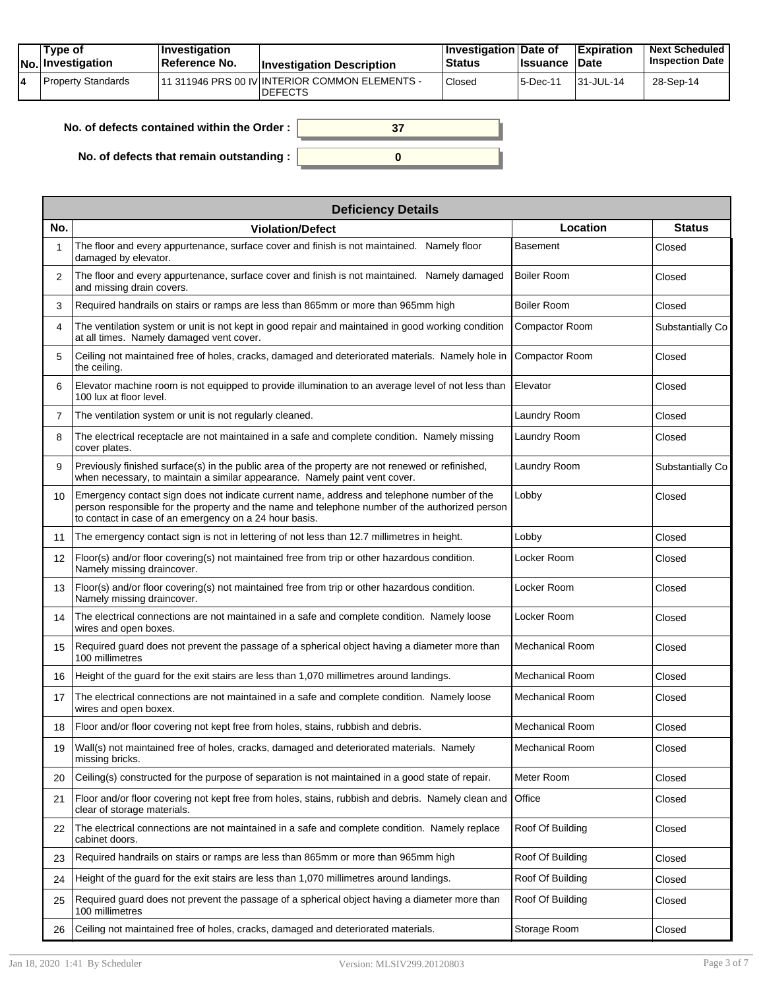|  | Tvpe of<br><b>No.</b> Investigation | $\blacksquare$ Investigation<br>Reference No. | <b>Investigation Description</b>                                  | <b>∐nvestigation Date of</b><br>Status | <b>Issuance Date</b> | <b>Expiration</b> | <b>Next Scheduled</b><br><b>Inspection Date</b> |
|--|-------------------------------------|-----------------------------------------------|-------------------------------------------------------------------|----------------------------------------|----------------------|-------------------|-------------------------------------------------|
|  | Property Standards                  |                                               | 111 311946 PRS 00 IV INTERIOR COMMON ELEMENTS -<br><b>DEFECTS</b> | Closed                                 | 5-Dec-11             | 31-JUL-14         | 28-Sep-14                                       |

| No. of defects contained within the Order : $\parallel$ |  |
|---------------------------------------------------------|--|
| No. of defects that remain outstanding :                |  |

| <b>Deficiency Details</b> |                                                                                                                                                                                                                                                        |                        |                  |  |  |  |  |
|---------------------------|--------------------------------------------------------------------------------------------------------------------------------------------------------------------------------------------------------------------------------------------------------|------------------------|------------------|--|--|--|--|
| No.                       | <b>Violation/Defect</b>                                                                                                                                                                                                                                | Location               | <b>Status</b>    |  |  |  |  |
|                           | The floor and every appurtenance, surface cover and finish is not maintained. Namely floor<br>damaged by elevator.                                                                                                                                     | <b>Basement</b>        | Closed           |  |  |  |  |
| 2                         | The floor and every appurtenance, surface cover and finish is not maintained. Namely damaged<br>and missing drain covers.                                                                                                                              | <b>Boiler Room</b>     | Closed           |  |  |  |  |
| 3                         | Required handrails on stairs or ramps are less than 865mm or more than 965mm high                                                                                                                                                                      | Boiler Room            | Closed           |  |  |  |  |
| 4                         | The ventilation system or unit is not kept in good repair and maintained in good working condition<br>at all times. Namely damaged vent cover.                                                                                                         | Compactor Room         | Substantially Co |  |  |  |  |
| 5                         | Ceiling not maintained free of holes, cracks, damaged and deteriorated materials. Namely hole in<br>the ceiling.                                                                                                                                       | Compactor Room         | Closed           |  |  |  |  |
| 6                         | Elevator machine room is not equipped to provide illumination to an average level of not less than<br>100 lux at floor level.                                                                                                                          | Elevator               | Closed           |  |  |  |  |
| $\overline{7}$            | The ventilation system or unit is not regularly cleaned.                                                                                                                                                                                               | Laundry Room           | Closed           |  |  |  |  |
| 8                         | The electrical receptacle are not maintained in a safe and complete condition. Namely missing<br>cover plates.                                                                                                                                         | Laundry Room           | Closed           |  |  |  |  |
| 9                         | Previously finished surface(s) in the public area of the property are not renewed or refinished,<br>when necessary, to maintain a similar appearance. Namely paint vent cover.                                                                         | Laundry Room           | Substantially Co |  |  |  |  |
| 10                        | Emergency contact sign does not indicate current name, address and telephone number of the<br>person responsible for the property and the name and telephone number of the authorized person<br>to contact in case of an emergency on a 24 hour basis. | Lobby                  | Closed           |  |  |  |  |
| 11                        | The emergency contact sign is not in lettering of not less than 12.7 millimetres in height.                                                                                                                                                            | Lobby                  | Closed           |  |  |  |  |
| $12 \overline{ }$         | Floor(s) and/or floor covering(s) not maintained free from trip or other hazardous condition.<br>Namely missing draincover.                                                                                                                            | Locker Room            | Closed           |  |  |  |  |
| 13                        | Floor(s) and/or floor covering(s) not maintained free from trip or other hazardous condition.<br>Namely missing draincover.                                                                                                                            | Locker Room            | Closed           |  |  |  |  |
| 14                        | The electrical connections are not maintained in a safe and complete condition. Namely loose<br>wires and open boxes.                                                                                                                                  | Locker Room            | Closed           |  |  |  |  |
| 15                        | Required guard does not prevent the passage of a spherical object having a diameter more than<br>100 millimetres                                                                                                                                       | <b>Mechanical Room</b> | Closed           |  |  |  |  |
| 16                        | Height of the guard for the exit stairs are less than 1,070 millimetres around landings.                                                                                                                                                               | <b>Mechanical Room</b> | Closed           |  |  |  |  |
| 17                        | The electrical connections are not maintained in a safe and complete condition. Namely loose<br>wires and open boxex.                                                                                                                                  | <b>Mechanical Room</b> | Closed           |  |  |  |  |
| 18                        | Floor and/or floor covering not kept free from holes, stains, rubbish and debris.                                                                                                                                                                      | <b>Mechanical Room</b> | Closed           |  |  |  |  |
| 19                        | Wall(s) not maintained free of holes, cracks, damaged and deteriorated materials. Namely<br>missing bricks.                                                                                                                                            | <b>Mechanical Room</b> | Closed           |  |  |  |  |
| 20                        | Ceiling(s) constructed for the purpose of separation is not maintained in a good state of repair.                                                                                                                                                      | Meter Room             | Closed           |  |  |  |  |
| 21                        | Floor and/or floor covering not kept free from holes, stains, rubbish and debris. Namely clean and<br>clear of storage materials.                                                                                                                      | Office                 | Closed           |  |  |  |  |
| 22                        | The electrical connections are not maintained in a safe and complete condition. Namely replace<br>cabinet doors.                                                                                                                                       | Roof Of Building       | Closed           |  |  |  |  |
| 23                        | Required handrails on stairs or ramps are less than 865mm or more than 965mm high                                                                                                                                                                      | Roof Of Building       | Closed           |  |  |  |  |
| 24                        | Height of the guard for the exit stairs are less than 1,070 millimetres around landings.                                                                                                                                                               | Roof Of Building       | Closed           |  |  |  |  |
| 25                        | Required guard does not prevent the passage of a spherical object having a diameter more than<br>100 millimetres                                                                                                                                       | Roof Of Building       | Closed           |  |  |  |  |
| 26                        | Ceiling not maintained free of holes, cracks, damaged and deteriorated materials.                                                                                                                                                                      | Storage Room           | Closed           |  |  |  |  |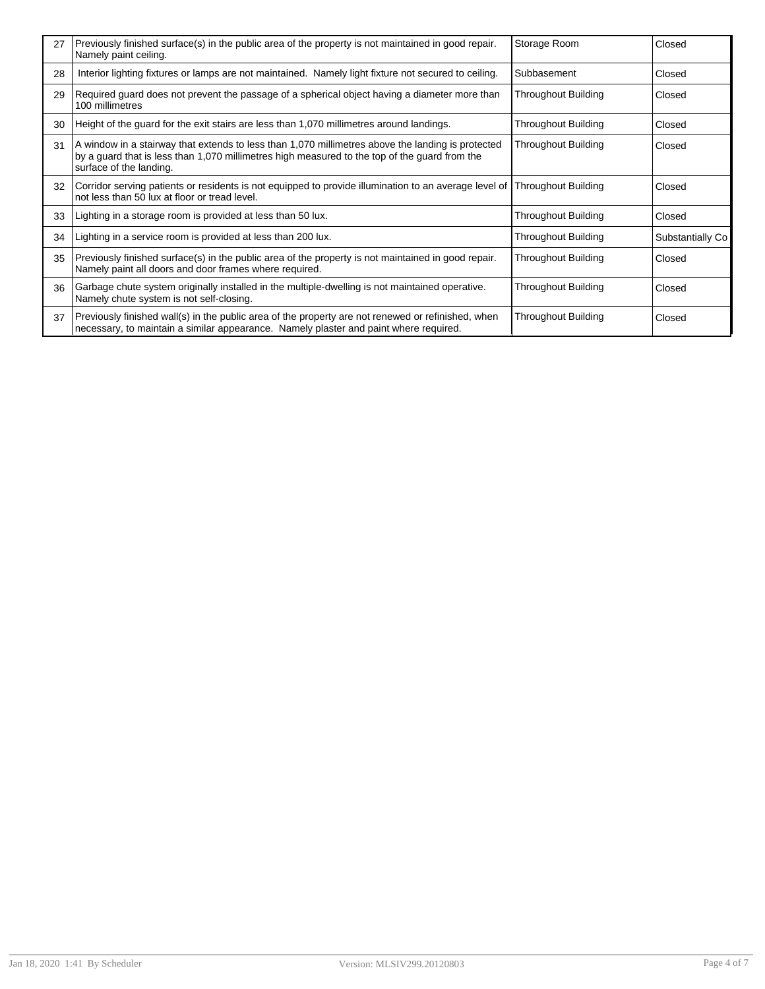| 27 | Previously finished surface(s) in the public area of the property is not maintained in good repair.<br>Namely paint ceiling.                                                                                                  | Storage Room               | Closed           |
|----|-------------------------------------------------------------------------------------------------------------------------------------------------------------------------------------------------------------------------------|----------------------------|------------------|
| 28 | Interior lighting fixtures or lamps are not maintained. Namely light fixture not secured to ceiling.                                                                                                                          | Subbasement                | Closed           |
| 29 | Required guard does not prevent the passage of a spherical object having a diameter more than<br>100 millimetres                                                                                                              | Throughout Building        | Closed           |
| 30 | Height of the guard for the exit stairs are less than 1,070 millimetres around landings.                                                                                                                                      | <b>Throughout Building</b> | Closed           |
| 31 | A window in a stairway that extends to less than 1,070 millimetres above the landing is protected<br>by a guard that is less than 1,070 millimetres high measured to the top of the guard from the<br>surface of the landing. | Throughout Building        | Closed           |
| 32 | Corridor serving patients or residents is not equipped to provide illumination to an average level of  Throughout Building<br>not less than 50 lux at floor or tread level.                                                   |                            | Closed           |
| 33 | Lighting in a storage room is provided at less than 50 lux.                                                                                                                                                                   | <b>Throughout Building</b> | Closed           |
| 34 | Lighting in a service room is provided at less than 200 lux.                                                                                                                                                                  | <b>Throughout Building</b> | Substantially Co |
| 35 | Previously finished surface(s) in the public area of the property is not maintained in good repair.<br>Namely paint all doors and door frames where required.                                                                 | <b>Throughout Building</b> | Closed           |
| 36 | Garbage chute system originally installed in the multiple-dwelling is not maintained operative.<br>Namely chute system is not self-closing.                                                                                   | Throughout Building        | Closed           |
| 37 | Previously finished wall(s) in the public area of the property are not renewed or refinished, when<br>necessary, to maintain a similar appearance. Namely plaster and paint where required.                                   | Throughout Building        | Closed           |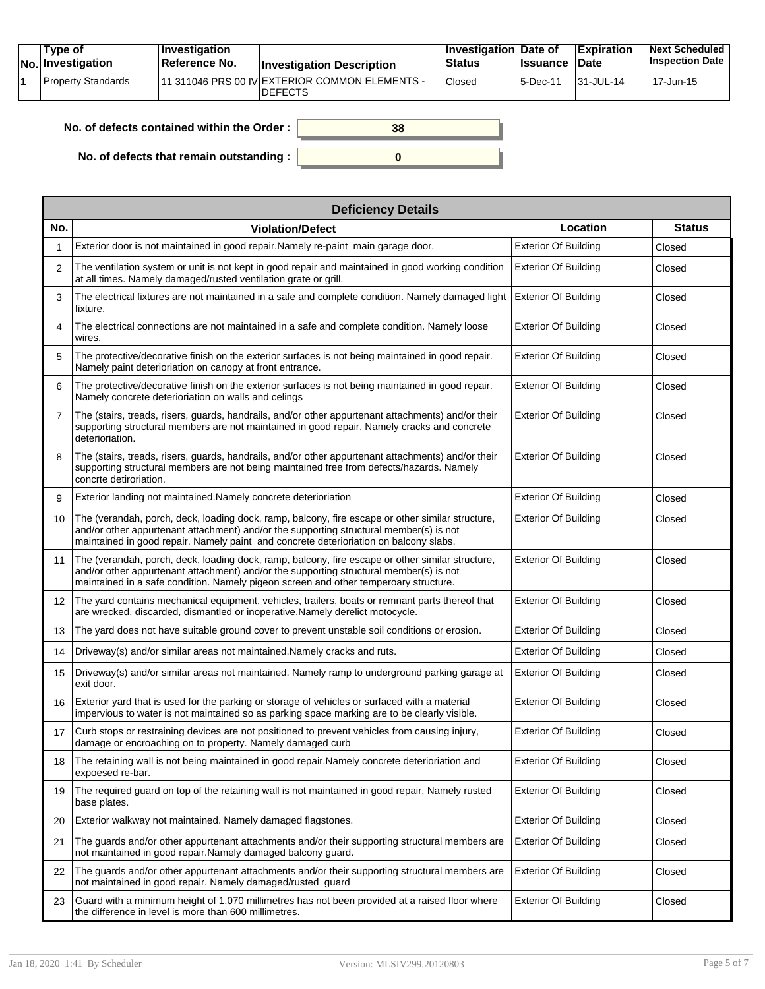|  | Tvpe of<br><b>No. Investigation</b> | $\blacksquare$ Investigation<br><b>∣Reference No.</b> | <b>Investigation Description</b>                                 | <b>∐nvestigation Date of</b><br><b>Status</b> | ∣Issuance | <b>Expiration</b><br><b>Date</b> | <b>Next Scheduled</b><br><b>Inspection Date</b> |
|--|-------------------------------------|-------------------------------------------------------|------------------------------------------------------------------|-----------------------------------------------|-----------|----------------------------------|-------------------------------------------------|
|  | <b>Property Standards</b>           |                                                       | 11 311046 PRS 00 IV EXTERIOR COMMON ELEMENTS -<br><b>DEFECTS</b> | <sup>1</sup> Closed                           | 5-Dec-11  | $131 - JUL - 14$                 | 17-Jun-15                                       |

| No. of defects contained within the Order: | 38 |
|--------------------------------------------|----|
| No. of defects that remain outstanding :   |    |

|                   | <b>Deficiency Details</b>                                                                                                                                                                                                                                                           |                             |               |  |  |  |  |  |
|-------------------|-------------------------------------------------------------------------------------------------------------------------------------------------------------------------------------------------------------------------------------------------------------------------------------|-----------------------------|---------------|--|--|--|--|--|
| No.               | <b>Violation/Defect</b>                                                                                                                                                                                                                                                             | Location                    | <b>Status</b> |  |  |  |  |  |
| 1                 | Exterior door is not maintained in good repair. Namely re-paint main garage door.                                                                                                                                                                                                   | <b>Exterior Of Building</b> | Closed        |  |  |  |  |  |
| 2                 | The ventilation system or unit is not kept in good repair and maintained in good working condition<br>at all times. Namely damaged/rusted ventilation grate or grill.                                                                                                               | <b>Exterior Of Building</b> | Closed        |  |  |  |  |  |
| 3                 | The electrical fixtures are not maintained in a safe and complete condition. Namely damaged light<br>fixture.                                                                                                                                                                       | <b>Exterior Of Building</b> | Closed        |  |  |  |  |  |
| 4                 | The electrical connections are not maintained in a safe and complete condition. Namely loose<br>wires.                                                                                                                                                                              | <b>Exterior Of Building</b> | Closed        |  |  |  |  |  |
| 5                 | The protective/decorative finish on the exterior surfaces is not being maintained in good repair.<br>Namely paint deterioriation on canopy at front entrance.                                                                                                                       | <b>Exterior Of Building</b> | Closed        |  |  |  |  |  |
| 6                 | The protective/decorative finish on the exterior surfaces is not being maintained in good repair.<br>Namely concrete deterioriation on walls and celings                                                                                                                            | <b>Exterior Of Building</b> | Closed        |  |  |  |  |  |
| $\overline{7}$    | The (stairs, treads, risers, guards, handrails, and/or other appurtenant attachments) and/or their<br>supporting structural members are not maintained in good repair. Namely cracks and concrete<br>deterioriation.                                                                | <b>Exterior Of Building</b> | Closed        |  |  |  |  |  |
| 8                 | The (stairs, treads, risers, quards, handrails, and/or other appurtenant attachments) and/or their<br>supporting structural members are not being maintained free from defects/hazards. Namely<br>concrte detiroriation.                                                            | <b>Exterior Of Building</b> | Closed        |  |  |  |  |  |
| 9                 | Exterior landing not maintained. Namely concrete deterioriation                                                                                                                                                                                                                     | <b>Exterior Of Building</b> | Closed        |  |  |  |  |  |
| 10                | The (verandah, porch, deck, loading dock, ramp, balcony, fire escape or other similar structure,<br>and/or other appurtenant attachment) and/or the supporting structural member(s) is not<br>maintained in good repair. Namely paint and concrete deterioriation on balcony slabs. | <b>Exterior Of Building</b> | Closed        |  |  |  |  |  |
| 11                | The (verandah, porch, deck, loading dock, ramp, balcony, fire escape or other similar structure,<br>and/or other appurtenant attachment) and/or the supporting structural member(s) is not<br>maintained in a safe condition. Namely pigeon screen and other temperoary structure.  | <b>Exterior Of Building</b> | Closed        |  |  |  |  |  |
| $12 \overline{ }$ | The yard contains mechanical equipment, vehicles, trailers, boats or remnant parts thereof that<br>are wrecked, discarded, dismantled or inoperative.Namely derelict motocycle.                                                                                                     | <b>Exterior Of Building</b> | Closed        |  |  |  |  |  |
| 13                | The yard does not have suitable ground cover to prevent unstable soil conditions or erosion.                                                                                                                                                                                        | <b>Exterior Of Building</b> | Closed        |  |  |  |  |  |
| 14                | Driveway(s) and/or similar areas not maintained. Namely cracks and ruts.                                                                                                                                                                                                            | <b>Exterior Of Building</b> | Closed        |  |  |  |  |  |
| 15                | Driveway(s) and/or similar areas not maintained. Namely ramp to underground parking garage at<br>exit door.                                                                                                                                                                         | <b>Exterior Of Building</b> | Closed        |  |  |  |  |  |
| 16                | Exterior yard that is used for the parking or storage of vehicles or surfaced with a material<br>impervious to water is not maintained so as parking space marking are to be clearly visible.                                                                                       | <b>Exterior Of Building</b> | Closed        |  |  |  |  |  |
| 17                | Curb stops or restraining devices are not positioned to prevent vehicles from causing injury,<br>damage or encroaching on to property. Namely damaged curb                                                                                                                          | <b>Exterior Of Building</b> | Closed        |  |  |  |  |  |
|                   | 18 The retaining wall is not being maintained in good repair. Namely concrete deterioriation and<br>expoesed re-bar.                                                                                                                                                                | <b>Exterior Of Building</b> | Closed        |  |  |  |  |  |
| 19                | The required guard on top of the retaining wall is not maintained in good repair. Namely rusted<br>base plates.                                                                                                                                                                     | <b>Exterior Of Building</b> | Closed        |  |  |  |  |  |
| 20                | Exterior walkway not maintained. Namely damaged flagstones.                                                                                                                                                                                                                         | <b>Exterior Of Building</b> | Closed        |  |  |  |  |  |
| 21                | The guards and/or other appurtenant attachments and/or their supporting structural members are<br>not maintained in good repair. Namely damaged balcony guard.                                                                                                                      | <b>Exterior Of Building</b> | Closed        |  |  |  |  |  |
| 22                | The guards and/or other appurtenant attachments and/or their supporting structural members are<br>not maintained in good repair. Namely damaged/rusted guard                                                                                                                        | <b>Exterior Of Building</b> | Closed        |  |  |  |  |  |
| 23                | Guard with a minimum height of 1,070 millimetres has not been provided at a raised floor where<br>the difference in level is more than 600 millimetres.                                                                                                                             | <b>Exterior Of Building</b> | Closed        |  |  |  |  |  |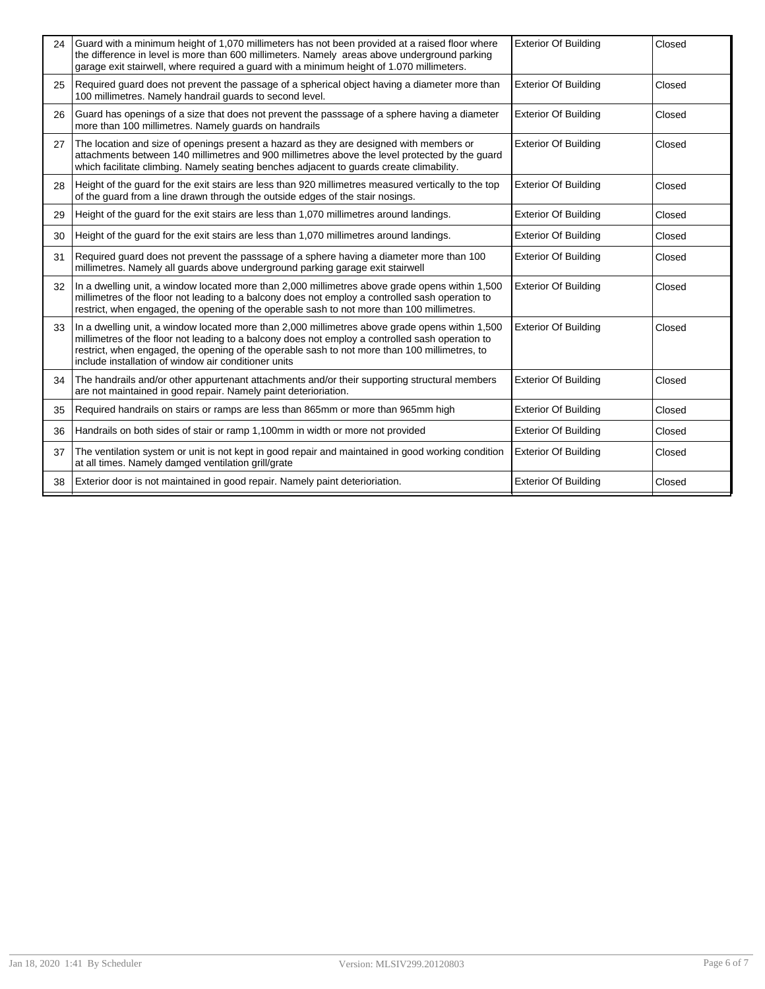| 24 | Guard with a minimum height of 1,070 millimeters has not been provided at a raised floor where<br>the difference in level is more than 600 millimeters. Namely areas above underground parking<br>garage exit stairwell, where required a guard with a minimum height of 1.070 millimeters.                                                                  | <b>Exterior Of Building</b> | Closed |
|----|--------------------------------------------------------------------------------------------------------------------------------------------------------------------------------------------------------------------------------------------------------------------------------------------------------------------------------------------------------------|-----------------------------|--------|
| 25 | Required guard does not prevent the passage of a spherical object having a diameter more than<br>100 millimetres. Namely handrail quards to second level.                                                                                                                                                                                                    | Exterior Of Building        | Closed |
| 26 | Guard has openings of a size that does not prevent the passsage of a sphere having a diameter<br>more than 100 millimetres. Namely quards on handrails                                                                                                                                                                                                       | <b>Exterior Of Building</b> | Closed |
| 27 | The location and size of openings present a hazard as they are designed with members or<br>attachments between 140 millimetres and 900 millimetres above the level protected by the quard<br>which facilitate climbing. Namely seating benches adjacent to guards create climability.                                                                        | <b>Exterior Of Building</b> | Closed |
| 28 | Height of the guard for the exit stairs are less than 920 millimetres measured vertically to the top<br>of the guard from a line drawn through the outside edges of the stair nosings.                                                                                                                                                                       | <b>Exterior Of Building</b> | Closed |
| 29 | Height of the guard for the exit stairs are less than 1,070 millimetres around landings.                                                                                                                                                                                                                                                                     | <b>Exterior Of Building</b> | Closed |
| 30 | Height of the guard for the exit stairs are less than 1,070 millimetres around landings.                                                                                                                                                                                                                                                                     | <b>Exterior Of Building</b> | Closed |
| 31 | Required guard does not prevent the passsage of a sphere having a diameter more than 100<br>millimetres. Namely all guards above underground parking garage exit stairwell                                                                                                                                                                                   | <b>Exterior Of Building</b> | Closed |
| 32 | In a dwelling unit, a window located more than 2,000 millimetres above grade opens within 1,500<br>millimetres of the floor not leading to a balcony does not employ a controlled sash operation to<br>restrict, when engaged, the opening of the operable sash to not more than 100 millimetres.                                                            | <b>Exterior Of Building</b> | Closed |
| 33 | In a dwelling unit, a window located more than 2,000 millimetres above grade opens within 1,500<br>millimetres of the floor not leading to a balcony does not employ a controlled sash operation to<br>restrict, when engaged, the opening of the operable sash to not more than 100 millimetres, to<br>include installation of window air conditioner units | <b>Exterior Of Building</b> | Closed |
| 34 | The handrails and/or other appurtenant attachments and/or their supporting structural members<br>are not maintained in good repair. Namely paint deterioriation.                                                                                                                                                                                             | <b>Exterior Of Building</b> | Closed |
| 35 | Required handrails on stairs or ramps are less than 865mm or more than 965mm high                                                                                                                                                                                                                                                                            | <b>Exterior Of Building</b> | Closed |
| 36 | Handrails on both sides of stair or ramp 1,100mm in width or more not provided                                                                                                                                                                                                                                                                               | <b>Exterior Of Building</b> | Closed |
| 37 | The ventilation system or unit is not kept in good repair and maintained in good working condition<br>at all times. Namely damged ventilation grill/grate                                                                                                                                                                                                    | <b>Exterior Of Building</b> | Closed |
| 38 | Exterior door is not maintained in good repair. Namely paint deterioriation.                                                                                                                                                                                                                                                                                 | <b>Exterior Of Building</b> | Closed |